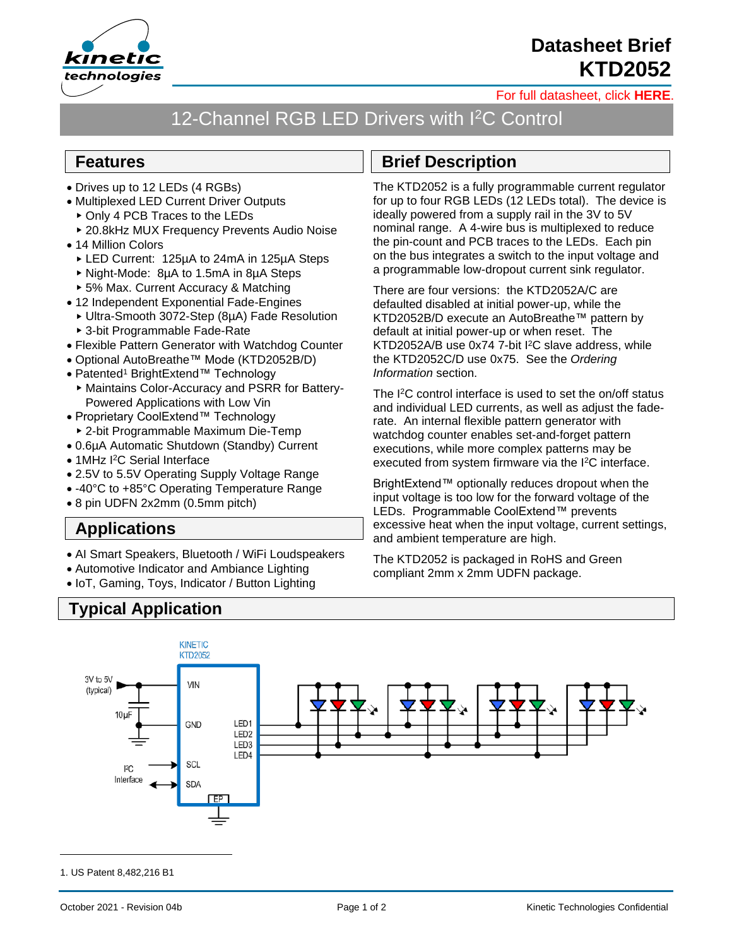

October 2021 - Revision 04b **Page 1 of 2** Page 1 of 2 Kinetic Technologies Confidential

# **Typical Application**

## **Applications**

- AI Smart Speakers, Bluetooth / WiFi Loudspeakers
- Automotive Indicator and Ambiance Lighting
- IoT, Gaming, Toys, Indicator / Button Lighting

**KINETIC** 

## **Brief Description**

The KTD2052 is a fully programmable current regulator for up to four RGB LEDs (12 LEDs total). The device is ideally powered from a supply rail in the 3V to 5V nominal range. A 4-wire bus is multiplexed to reduce the pin-count and PCB traces to the LEDs. Each pin on the bus integrates a switch to the input voltage and a programmable low-dropout current sink regulator.

There are four versions: the KTD2052A/C are defaulted disabled at initial power-up, while the KTD2052B/D execute an AutoBreathe™ pattern by KTD2052A/B use 0x74 7-bit I <sup>2</sup>C slave address, while *Information* section.

The I <sup>2</sup>C control interface is used to set the on/off status and individual LED currents, as well as adjust the faderate. An internal flexible pattern generator with watchdog counter enables set-and-forget pattern executions, while more complex patterns may be executed from system firmware via the I<sup>2</sup>C interface.

BrightExtend™ optionally reduces dropout when the input voltage is too low for the forward voltage of the LEDs. Programmable CoolExtend™ prevents excessive heat when the input voltage, current settings, and ambient temperature are high.

The KTD2052 is packaged in RoHS and Green compliant 2mm x 2mm UDFN package.

default at initial power-up or when reset. The the KTD2052C/D use 0x75. See the *Ordering* 

[For full datasheet, click](https://www.kinet-ic.com/sample-buy/request-document/?part=KTD2052%20Full%20Datasheet) **HERE**.

### 12-Channel RGB LED Drivers with I<sup>2</sup>C Control

#### **Features**

- Drives up to 12 LEDs (4 RGBs)
- Multiplexed LED Current Driver Outputs
	- ▶ Only 4 PCB Traces to the LEDs
	- ▶ 20.8kHz MUX Frequency Prevents Audio Noise
- 14 Million Colors
	- LED Current: 125µA to 24mA in 125µA Steps
	- Night-Mode: 8µA to 1.5mA in 8µA Steps
	- ▶ 5% Max. Current Accuracy & Matching
- 12 Independent Exponential Fade-Engines
	- Ultra-Smooth 3072-Step (8µA) Fade Resolution
	- 3-bit Programmable Fade-Rate
- Flexible Pattern Generator with Watchdog Counter
- Optional AutoBreathe™ Mode (KTD2052B/D)
- Patented<sup>1</sup> BrightExtend™ Technology
- Maintains Color-Accuracy and PSRR for Battery-Powered Applications with Low Vin
- Proprietary CoolExtend™ Technology
- 2-bit Programmable Maximum Die-Temp
- 0.6µA Automatic Shutdown (Standby) Current
- 1MHz I <sup>2</sup>C Serial Interface
- 2.5V to 5.5V Operating Supply Voltage Range
- -40°C to +85°C Operating Temperature Range
- 8 pin UDFN 2x2mm (0.5mm pitch)